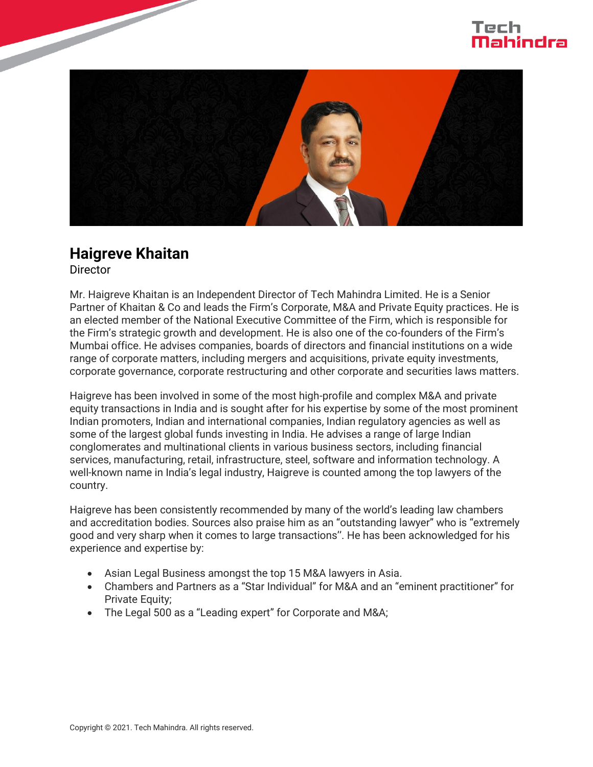



## **Haigreve Khaitan**

**Director** 

Mr. Haigreve Khaitan is an Independent Director of Tech Mahindra Limited. He is a Senior Partner of Khaitan & Co and leads the Firm's Corporate, M&A and Private Equity practices. He is an elected member of the National Executive Committee of the Firm, which is responsible for the Firm's strategic growth and development. He is also one of the co-founders of the Firm's Mumbai office. He advises companies, boards of directors and financial institutions on a wide range of corporate matters, including mergers and acquisitions, private equity investments, corporate governance, corporate restructuring and other corporate and securities laws matters.

Haigreve has been involved in some of the most high-profile and complex M&A and private equity transactions in India and is sought after for his expertise by some of the most prominent Indian promoters, Indian and international companies, Indian regulatory agencies as well as some of the largest global funds investing in India. He advises a range of large Indian conglomerates and multinational clients in various business sectors, including financial services, manufacturing, retail, infrastructure, steel, software and information technology. A well-known name in India's legal industry, Haigreve is counted among the top lawyers of the country.

Haigreve has been consistently recommended by many of the world's leading law chambers and accreditation bodies. Sources also praise him as an "outstanding lawyer" who is "extremely good and very sharp when it comes to large transactions''. He has been acknowledged for his experience and expertise by:

- Asian Legal Business amongst the top 15 M&A lawyers in Asia.
- Chambers and Partners as a "Star Individual" for M&A and an "eminent practitioner" for Private Equity;
- The Legal 500 as a "Leading expert" for Corporate and M&A;